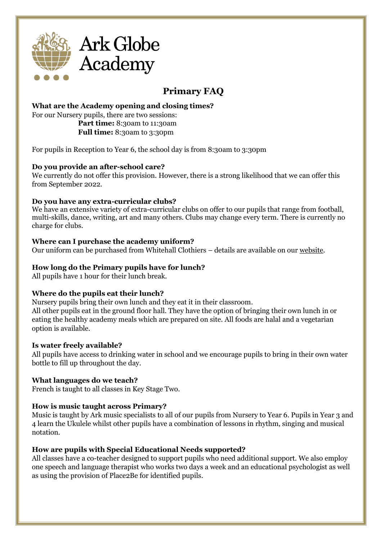

# **Primary FAQ**

## **What are the Academy opening and closing times?**

For our Nursery pupils, there are two sessions: **Part time:** 8:30am to 11:30am **Full time:** 8:30am to 3:30pm

For pupils in Reception to Year 6, the school day is from 8:30am to 3:30pm

## **Do you provide an after-school care?**

We currently do not offer this provision. However, there is a strong likelihood that we can offer this from September 2022.

## **Do you have any extra-curricular clubs?**

We have an extensive variety of extra-curricular clubs on offer to our pupils that range from football, multi-skills, dance, writing, art and many others. Clubs may change every term. There is currently no charge for clubs.

#### **Where can I purchase the academy uniform?**

Our uniform can be purchased from Whitehall Clothiers – details are available on our [website.](https://arkglobe.org/admissions/school-uniform)

## **How long do the Primary pupils have for lunch?**

All pupils have 1 hour for their lunch break.

## **Where do the pupils eat their lunch?**

Nursery pupils bring their own lunch and they eat it in their classroom. All other pupils eat in the ground floor hall. They have the option of bringing their own lunch in or eating the healthy academy meals which are prepared on site. All foods are halal and a vegetarian option is available.

## **Is water freely available?**

All pupils have access to drinking water in school and we encourage pupils to bring in their own water bottle to fill up throughout the day.

## **What languages do we teach?**

French is taught to all classes in Key Stage Two.

## **How is music taught across Primary?**

Music is taught by Ark music specialists to all of our pupils from Nursery to Year 6. Pupils in Year 3 and 4 learn the Ukulele whilst other pupils have a combination of lessons in rhythm, singing and musical notation.

## **How are pupils with Special Educational Needs supported?**

All classes have a co-teacher designed to support pupils who need additional support. We also employ one speech and language therapist who works two days a week and an educational psychologist as well as using the provision of Place2Be for identified pupils.